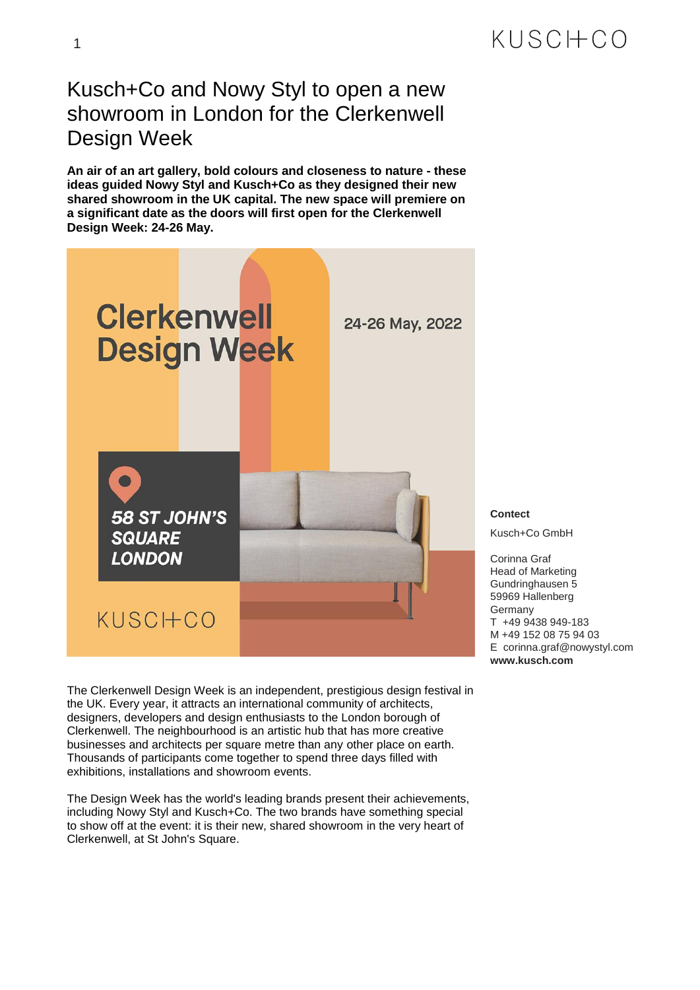## KUSCHCO

## Kusch+Co and Nowy Styl to open a new showroom in London for the Clerkenwell Design Week

**An air of an art gallery, bold colours and closeness to nature - these ideas guided Nowy Styl and Kusch+Co as they designed their new shared showroom in the UK capital. The new space will premiere on a significant date as the doors will first open for the Clerkenwell Design Week: 24-26 May.**



**Contect**

Kusch+Co GmbH

Corinna Graf Head of Marketing Gundringhausen 5 59969 Hallenberg Germany T +49 9438 949-183 M +49 152 08 75 94 03 E corinna.graf@nowystyl.com **www.kusch.com**

The Clerkenwell Design Week is an independent, prestigious design festival in the UK. Every year, it attracts an international community of architects, designers, developers and design enthusiasts to the London borough of Clerkenwell. The neighbourhood is an artistic hub that has more creative businesses and architects per square metre than any other place on earth. Thousands of participants come together to spend three days filled with exhibitions, installations and showroom events.

The Design Week has the world's leading brands present their achievements, including Nowy Styl and Kusch+Co. The two brands have something special to show off at the event: it is their new, shared showroom in the very heart of Clerkenwell, at St John's Square.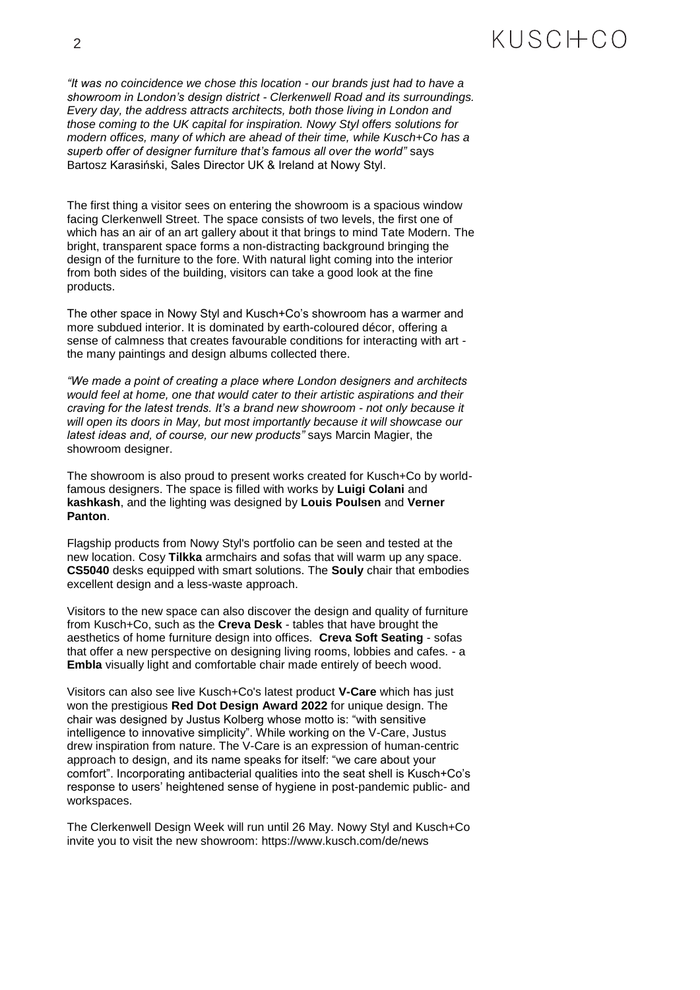## KUSCHCO

*"It was no coincidence we chose this location - our brands just had to have a showroom in London's design district - Clerkenwell Road and its surroundings. Every day, the address attracts architects, both those living in London and those coming to the UK capital for inspiration. Nowy Styl offers solutions for modern offices, many of which are ahead of their time, while Kusch+Co has a superb offer of designer furniture that's famous all over the world"* says Bartosz Karasiński, Sales Director UK & Ireland at Nowy Styl.

The first thing a visitor sees on entering the showroom is a spacious window facing Clerkenwell Street. The space consists of two levels, the first one of which has an air of an art gallery about it that brings to mind Tate Modern. The bright, transparent space forms a non-distracting background bringing the design of the furniture to the fore. With natural light coming into the interior from both sides of the building, visitors can take a good look at the fine products.

The other space in Nowy Styl and Kusch+Co's showroom has a warmer and more subdued interior. It is dominated by earth-coloured décor, offering a sense of calmness that creates favourable conditions for interacting with art the many paintings and design albums collected there.

*"We made a point of creating a place where London designers and architects would feel at home, one that would cater to their artistic aspirations and their craving for the latest trends. It's a brand new showroom - not only because it will open its doors in May, but most importantly because it will showcase our latest ideas and, of course, our new products"* says Marcin Magier, the showroom designer.

The showroom is also proud to present works created for Kusch+Co by worldfamous designers. The space is filled with works by **Luigi Colani** and **kashkash**, and the lighting was designed by **Louis Poulsen** and **Verner Panton**.

Flagship products from Nowy Styl's portfolio can be seen and tested at the new location. Cosy **Tilkka** armchairs and sofas that will warm up any space. **CS5040** desks equipped with smart solutions. The **Souly** chair that embodies excellent design and a less-waste approach.

Visitors to the new space can also discover the design and quality of furniture from Kusch+Co, such as the **Creva Desk** - tables that have brought the aesthetics of home furniture design into offices. **Creva Soft Seating** - sofas that offer a new perspective on designing living rooms, lobbies and cafes. - a **Embla** visually light and comfortable chair made entirely of beech wood.

Visitors can also see live Kusch+Co's latest product **V-Care** which has just won the prestigious **Red Dot Design Award 2022** for unique design. The chair was designed by Justus Kolberg whose motto is: "with sensitive intelligence to innovative simplicity". While working on the V-Care, Justus drew inspiration from nature. The V-Care is an expression of human-centric approach to design, and its name speaks for itself: "we care about your comfort". Incorporating antibacterial qualities into the seat shell is Kusch+Co's response to users' heightened sense of hygiene in post-pandemic public- and workspaces.

The Clerkenwell Design Week will run until 26 May. Nowy Styl and Kusch+Co invite you to visit the new showroom: <https://www.kusch.com/de/news>